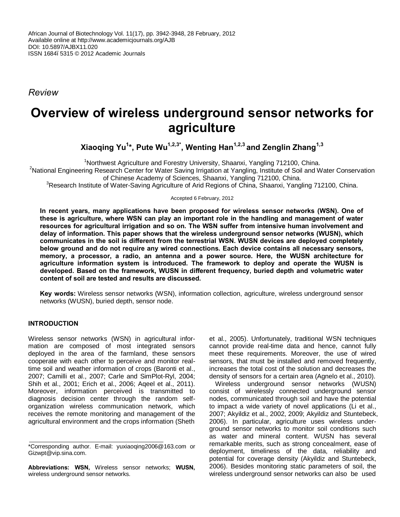*Review*

# **Overview of wireless underground sensor networks for agriculture**

**Xiaoqing Yu1 \*, Pute Wu1,2,3\* , Wenting Han1,2,3 and Zenglin Zhang1,3**

<sup>1</sup>Northwest Agriculture and Forestry University, Shaanxi, Yangling 712100, China.<br><sup>2</sup>Notional Engineering Research Center for Water Soving Irrigation at Yangling, Institute of Soil and W

<sup>2</sup>National Engineering Research Center for Water Saving Irrigation at Yangling, Institute of Soil and Water Conservation of Chinese Academy of Sciences, Shaanxi, Yangling 712100, China. <sup>3</sup>

 ${}^{3}$ Research Institute of Water-Saving Agriculture of Arid Regions of China, Shaanxi, Yangling 712100, China.

Accepted 6 February, 2012

**In recent years, many applications have been proposed for wireless sensor networks (WSN). One of these is agriculture, where WSN can play an important role in the handling and management of water resources for agricultural irrigation and so on. The WSN suffer from intensive human involvement and delay of information. This paper shows that the wireless underground sensor networks (WUSN), which communicates in the soil is different from the terrestrial WSN. WUSN devices are deployed completely below ground and do not require any wired connections. Each device contains all necessary sensors, memory, a processor, a radio, an antenna and a power source. Here, the WUSN architecture for agriculture information system is introduced. The framework to deploy and operate the WUSN is developed. Based on the framework, WUSN in different frequency, buried depth and volumetric water content of soil are tested and results are discussed.**

**Key words:** Wireless sensor networks (WSN), information collection, agriculture, wireless underground sensor networks (WUSN), buried depth, sensor node.

# **INTRODUCTION**

Wireless sensor networks (WSN) in agricultural information are composed of most integrated sensors deployed in the area of the farmland, these sensors cooperate with each other to perceive and monitor realtime soil and weather information of crops (Baronti et al., 2007; Camilli et al., 2007; Carle and SimPlot-Ryl, 2004; Shih et al., 2001; Erich et al., 2006; Aqeel et al., 2011). Moreover, information perceived is transmitted to diagnosis decision center through the random selforganization wireless communication network, which receives the remote monitoring and management of the agricultural environment and the crops information (Sheth

**Abbreviations: WSN,** Wireless sensor networks; **WUSN,** wireless underground sensor networks.

et al., 2005). Unfortunately, traditional WSN techniques cannot provide real-time data and hence, cannot fully meet these requirements. Moreover, the use of wired sensors, that must be installed and removed frequently, increases the total cost of the solution and decreases the density of sensors for a certain area (Agnelo et al., 2010).

Wireless underground sensor networks (WUSN) consist of wirelessly connected underground sensor nodes, communicated through soil and have the potential to impact a wide variety of novel applications (Li et al., 2007; Akyildiz et al., 2002, 2009; Akyildiz and Stuntebeck, 2006). In particular, agriculture uses wireless underground sensor networks to monitor soil conditions such as water and mineral content. WUSN has several remarkable merits, such as strong concealment, ease of deployment, timeliness of the data, reliability and potential for coverage density (Akyildiz and Stuntebeck, 2006). Besides monitoring static parameters of soil, the wireless underground sensor networks can also be used

<sup>\*</sup>Corresponding author. E-mail: yuxiaoqing2006@163.com or Gizwpt@vip.sina.com.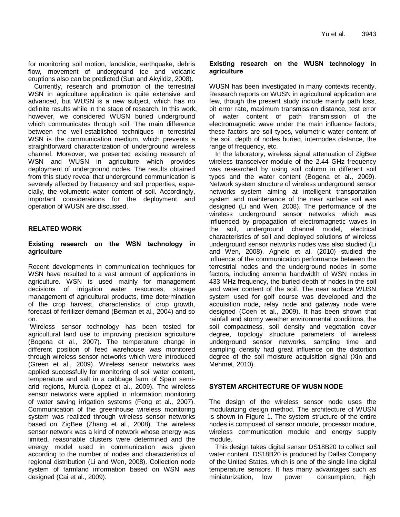for monitoring soil motion, landslide, earthquake, debris flow, movement of underground ice and volcanic eruptions also can be predicted (Sun and Akyildiz, 2008).

Currently, research and promotion of the terrestrial WSN in agriculture application is quite extensive and advanced, but WUSN is a new subject, which has no definite results while in the stage of research. In this work, however, we considered WUSN buried underground which communicates through soil. The main difference between the well-established techniques in terrestrial WSN is the communication medium, which prevents a straightforward characterization of underground wireless channel. Moreover, we presented existing research of WSN and WUSN in agriculture which provides deployment of underground nodes. The results obtained from this study reveal that underground communication is severely affected by frequency and soil properties, especially, the volumetric water content of soil. Accordingly, important considerations for the deployment and operation of WUSN are discussed.

# **RELATED WORK**

### **Existing research on the WSN technology in agriculture**

Recent developments in communication techniques for WSN have resulted to a vast amount of applications in agriculture. WSN is used mainly for management decisions of irrigation water resources, storage management of agricultural products, time determination of the crop harvest, characteristics of crop growth, forecast of fertilizer demand (Berman et al., 2004) and so on.

Wireless sensor technology has been tested for agricultural land use to improving precision agriculture (Bogena et al., 2007). The temperature change in different position of feed warehouse was monitored through wireless sensor networks which were introduced (Green et al., 2009). Wireless sensor networks was applied successfully for monitoring of soil water content, temperature and salt in a cabbage farm of Spain semiarid regions, Murcia (Lopez et al., 2009). The wireless sensor networks were applied in information monitoring of water saving irrigation systems (Feng et al., 2007). Communication of the greenhouse wireless monitoring system was realized through wireless sensor networks based on ZigBee (Zhang et al., 2008). The wireless sensor network was a kind of network whose energy was limited, reasonable clusters were determined and the energy model used in communication was given according to the number of nodes and characteristics of regional distribution (Li and Wen, 2008). Collection node system of farmland information based on WSN was designed (Cai et al., 2009).

# **Existing research on the WUSN technology in agriculture**

WUSN has been investigated in many contexts recently. Research reports on WUSN in agricultural application are few, though the present study include mainly path loss, bit error rate, maximum transmission distance, test error of water content of path transmission of the electromagnetic wave under the main influence factors; these factors are soil types, volumetric water content of the soil, depth of nodes buried, internodes distance, the range of frequency, etc.

In the laboratory, wireless signal attenuation of ZigBee wireless transceiver module of the 2.44 GHz frequency was researched by using soil column in different soil types and the water content (Bogena et al., 2009). Network system structure of wireless underground sensor networks system aiming at intelligent transportation system and maintenance of the near surface soil was designed (Li and Wen, 2008). The performance of the wireless underground sensor networks which was influenced by propagation of electromagnetic waves in the soil, underground channel model, electrical characteristics of soil and deployed solutions of wireless underground sensor networks nodes was also studied (Li and Wen, 2008). Agnelo et al. (2010) studied the influence of the communication performance between the terrestrial nodes and the underground nodes in some factors, including antenna bandwidth of WSN nodes in 433 MHz frequency, the buried depth of nodes in the soil and water content of the soil. The near surface WUSN system used for golf course was developed and the acquisition node, relay node and gateway node were designed (Coen et al., 2009). It has been shown that rainfall and stormy weather environmental conditions, the soil compactness, soil density and vegetation cover degree, topology structure parameters of wireless underground sensor networks, sampling time and sampling density had great influence on the distortion degree of the soil moisture acquisition signal (Xin and Mehmet, 2010).

# **SYSTEM ARCHITECTURE OF WUSN NODE**

The design of the wireless sensor node uses the modularizing design method. The architecture of WUSN is shown in Figure 1. The system structure of the entire nodes is composed of sensor module, processor module, wireless communication module and energy supply module.

This design takes digital sensor DS18B20 to collect soil water content. DS18B20 is produced by Dallas Company of the United States, which is one of the single line digital temperature sensors. It has many advantages such as miniaturization, low power consumption, high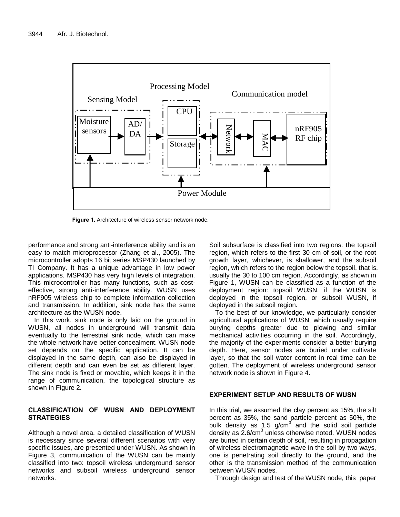

**Figure 1.** Architecture of wireless sensor network node.

performance and strong anti-interference ability and is an easy to match microprocessor (Zhang et al., 2005). The microcontroller adopts 16 bit series MSP430 launched by TI Company. It has a unique advantage in low power applications. MSP430 has very high levels of integration. This microcontroller has many functions, such as costeffective, strong anti-interference ability. WUSN uses nRF905 wireless chip to complete information collection and transmission. In addition, sink node has the same architecture as the WUSN node.

In this work, sink node is only laid on the ground in WUSN, all nodes in underground will transmit data eventually to the terrestrial sink node, which can make the whole network have better concealment. WUSN node set depends on the specific application. It can be displayed in the same depth, can also be displayed in different depth and can even be set as different layer. The sink node is fixed or movable, which keeps it in the range of communication, the topological structure as shown in Figure 2.

### **CLASSIFICATION OF WUSN AND DEPLOYMENT STRATEGIES**

Although a novel area, a detailed classification of WUSN is necessary since several different scenarios with very specific issues, are presented under WUSN. As shown in Figure 3, communication of the WUSN can be mainly classified into two: topsoil wireless underground sensor networks and subsoil wireless underground sensor networks.

Soil subsurface is classified into two regions: the topsoil region, which refers to the first 30 cm of soil, or the root growth layer, whichever, is shallower, and the subsoil region, which refers to the region below the topsoil, that is, usually the 30 to 100 cm region. Accordingly, as shown in Figure 1, WUSN can be classified as a function of the deployment region: topsoil WUSN, if the WUSN is deployed in the topsoil region, or subsoil WUSN, if deployed in the subsoil region.

To the best of our knowledge, we particularly consider agricultural applications of WUSN, which usually require burying depths greater due to plowing and similar mechanical activities occurring in the soil. Accordingly, the majority of the experiments consider a better burying depth. Here, sensor nodes are buried under cultivate layer, so that the soil water content in real time can be gotten. The deployment of wireless underground sensor network node is shown in Figure 4.

# **EXPERIMENT SETUP AND RESULTS OF WUSN**

In this trial, we assumed the clay percent as 15%, the silt percent as 35%, the sand particle percent as 50%, the bulk density as 1.5  $q/cm^3$  and the solid soil particle density as  $2.6/cm<sup>3</sup>$  unless otherwise noted. WUSN nodes are buried in certain depth of soil, resulting in propagation of wireless electromagnetic wave in the soil by two ways, one is penetrating soil directly to the ground, and the other is the transmission method of the communication between WUSN nodes.

Through design and test of the WUSN node, this paper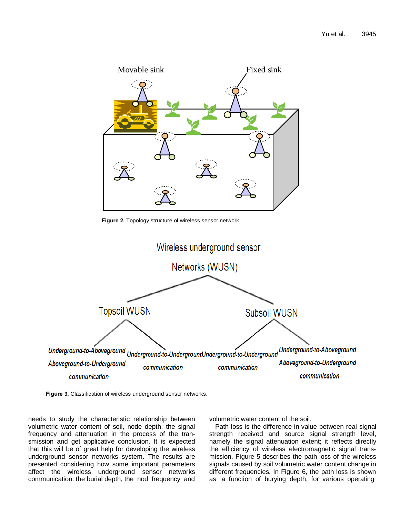

**Figure 2.** Topology structure of wireless sensor network.



**Figure 3.** Classification of wireless underground sensor networks.

needs to study the characteristic relationship between volumetric water content of soil, node depth, the signal frequency and attenuation in the process of the transmission and get applicative conclusion. It is expected that this will be of great help for developing the wireless underground sensor networks system. The results are presented considering how some important parameters affect the wireless underground sensor networks communication: the burial depth, the nod frequency and volumetric water content of the soil.

Path loss is the difference in value between real signal strength received and source signal strength level, namely the signal attenuation extent; it reflects directly the efficiency of wireless electromagnetic signal transmission. Figure 5 describes the path loss of the wireless signals caused by soil volumetric water content change in different frequencies. In Figure 6, the path loss is shown as a function of burying depth, for various operating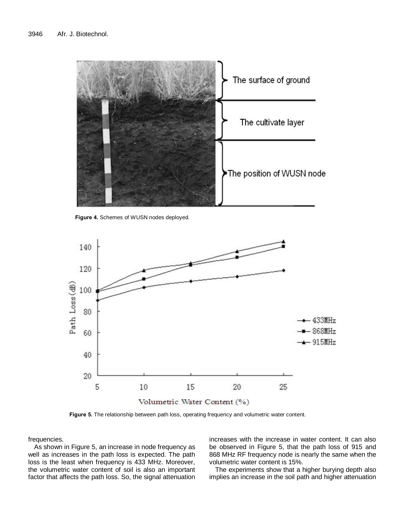

**Figure 4.** Schemes of WUSN nodes deployed.



**Figure 5.** The relationship between path loss, operating frequency and volumetric water content.

frequencies.

As shown in Figure 5, an increase in node frequency as well as increases in the path loss is expected. The path loss is the least when frequency is 433 MHz. Moreover, the volumetric water content of soil is also an important factor that affects the path loss. So, the signal attenuation

increases with the increase in water content. It can also be observed in Figure 5, that the path loss of 915 and 868 MHz RF frequency node is nearly the same when the volumetric water content is 15%.

The experiments show that a higher burying depth also implies an increase in the soil path and higher attenuation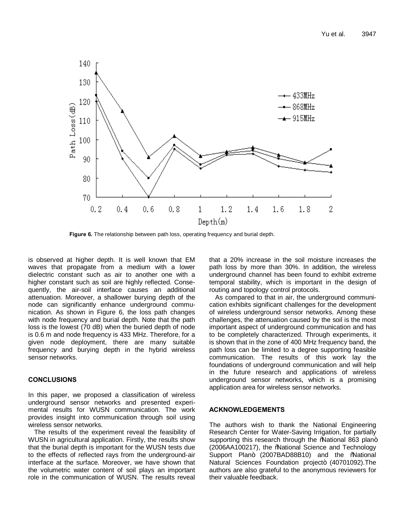

**Figure 6.** The relationship between path loss, operating frequency and burial depth.

is observed at higher depth. It is well known that EM waves that propagate from a medium with a lower dielectric constant such as air to another one with a higher constant such as soil are highly reflected. Consequently, the air-soil interface causes an additional attenuation. Moreover, a shallower burying depth of the node can significantly enhance underground communication. As shown in Figure 6, the loss path changes with node frequency and burial depth. Note that the path loss is the lowest (70 dB) when the buried depth of node is 0.6 m and node frequency is 433 MHz. Therefore, for a given node deployment, there are many suitable frequency and burying depth in the hybrid wireless sensor networks.

#### **CONCLUSIONS**

In this paper, we proposed a classification of wireless underground sensor networks and presented experimental results for WUSN communication. The work provides insight into communication through soil using wireless sensor networks.

The results of the experiment reveal the feasibility of WUSN in agricultural application. Firstly, the results show that the burial depth is important for the WUSN tests due to the effects of reflected rays from the underground-air interface at the surface. Moreover, we have shown that the volumetric water content of soil plays an important role in the communication of WUSN. The results reveal that a 20% increase in the soil moisture increases the path loss by more than 30%. In addition, the wireless underground channel has been found to exhibit extreme temporal stability, which is important in the design of routing and topology control protocols.

As compared to that in air, the underground communication exhibits significant challenges for the development of wireless underground sensor networks. Among these challenges, the attenuation caused by the soil is the most important aspect of underground communication and has to be completely characterized. Through experiments, it is shown that in the zone of 400 MHz frequency band, the path loss can be limited to a degree supporting feasible communication. The results of this work lay the foundations of underground communication and will help in the future research and applications of wireless underground sensor networks, which is a promising application area for wireless sensor networks.

# **ACKNOWLEDGEMENTS**

The authors wish to thank the National Engineering Research Center for Water-Saving Irrigation, for partially supporting this research through the 'Mational 863 plan+ (2006AA100217), the "National Science and Technology Support Plan+ (2007BAD88B10) and the %National Natural Sciences Foundation project+ (40701092).The authors are also grateful to the anonymous reviewers for their valuable feedback.